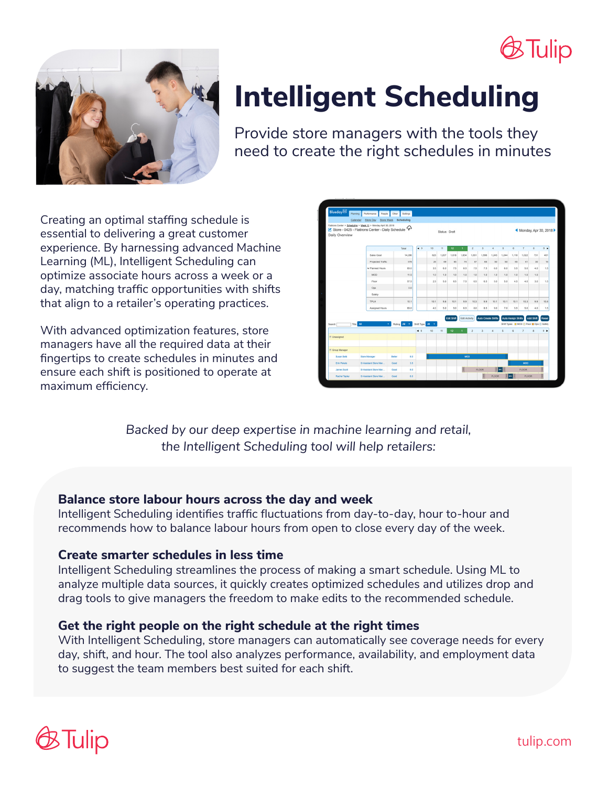## **Tulip**



# **Intelligent Scheduling**

Provide store managers with the tools they need to create the right schedules in minutes

Creating an optimal staffing schedule is essential to delivering a great customer experience. By harnessing advanced Machine Learning (ML), Intelligent Scheduling can optimize associate hours across a week or a day, matching traffic opportunities with shifts that align to a retailer's operating practices.

With advanced optimization features, store managers have all the required data at their fingertips to create schedules in minutes and ensure each shift is positioned to operate at maximum efficiency.



*Backed by our deep expertise in machine learning and retail, the Intelligent Scheduling tool will help retailers:*

## **Balance store labour hours across the day and week**

Intelligent Scheduling identifies traffic fluctuations from day-to-day, hour to-hour and recommends how to balance labour hours from open to close every day of the week.

## **Create smarter schedules in less time**

Intelligent Scheduling streamlines the process of making a smart schedule. Using ML to analyze multiple data sources, it quickly creates optimized schedules and utilizes drop and drag tools to give managers the freedom to make edits to the recommended schedule.

## **Get the right people on the right schedule at the right times**

With Intelligent Scheduling, store managers can automatically see coverage needs for every day, shift, and hour. The tool also analyzes performance, availability, and employment data to suggest the team members best suited for each shift.